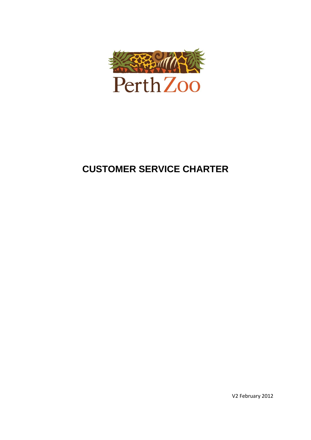

# **CUSTOMER SERVICE CHARTER**

V2 February 2012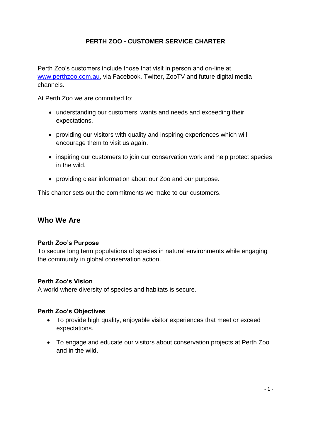### **PERTH ZOO - CUSTOMER SERVICE CHARTER**

Perth Zoo's customers include those that visit in person and on-line at [www.perthzoo.com.au,](http://www.perthzoo.com.au/) via Facebook, Twitter, ZooTV and future digital media channels.

At Perth Zoo we are committed to:

- understanding our customers' wants and needs and exceeding their expectations.
- providing our visitors with quality and inspiring experiences which will encourage them to visit us again.
- inspiring our customers to join our conservation work and help protect species in the wild.
- providing clear information about our Zoo and our purpose.

This charter sets out the commitments we make to our customers.

### **Who We Are**

### **Perth Zoo's Purpose**

To secure long term populations of species in natural environments while engaging the community in global conservation action.

### **Perth Zoo's Vision**

A world where diversity of species and habitats is secure.

### **Perth Zoo's Objectives**

- To provide high quality, enjoyable visitor experiences that meet or exceed expectations.
- To engage and educate our visitors about conservation projects at Perth Zoo and in the wild.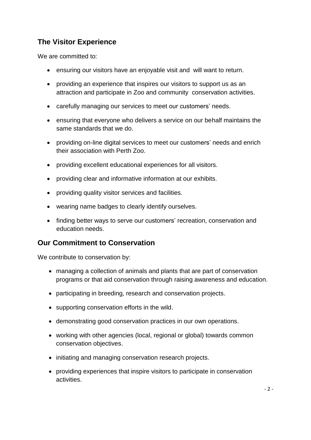# **The Visitor Experience**

We are committed to:

- ensuring our visitors have an enjoyable visit and will want to return.
- providing an experience that inspires our visitors to support us as an attraction and participate in Zoo and community conservation activities.
- carefully managing our services to meet our customers' needs.
- ensuring that everyone who delivers a service on our behalf maintains the same standards that we do.
- providing on-line digital services to meet our customers' needs and enrich their association with Perth Zoo.
- providing excellent educational experiences for all visitors.
- providing clear and informative information at our exhibits.
- providing quality visitor services and facilities.
- wearing name badges to clearly identify ourselves.
- finding better ways to serve our customers' recreation, conservation and education needs.

### **Our Commitment to Conservation**

We contribute to conservation by:

- managing a collection of animals and plants that are part of conservation programs or that aid conservation through raising awareness and education.
- participating in breeding, research and conservation projects.
- supporting conservation efforts in the wild.
- demonstrating good conservation practices in our own operations.
- working with other agencies (local, regional or global) towards common conservation objectives.
- initiating and managing conservation research projects.
- providing experiences that inspire visitors to participate in conservation activities.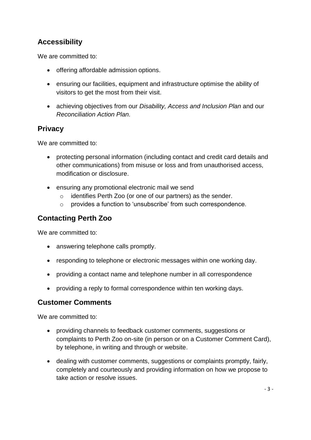# **Accessibility**

We are committed to:

- offering affordable admission options.
- ensuring our facilities, equipment and infrastructure optimise the ability of visitors to get the most from their visit.
- achieving objectives from our *Disability, Access and Inclusion Plan* and our *Reconciliation Action Plan.*

### **Privacy**

We are committed to:

- protecting personal information (including contact and credit card details and other communications) from misuse or loss and from unauthorised access, modification or disclosure.
- ensuring any promotional electronic mail we send
	- o identifies Perth Zoo (or one of our partners) as the sender.
	- o provides a function to 'unsubscribe' from such correspondence.

# **Contacting Perth Zoo**

We are committed to:

- answering telephone calls promptly.
- responding to telephone or electronic messages within one working day.
- providing a contact name and telephone number in all correspondence
- providing a reply to formal correspondence within ten working days.

### **Customer Comments**

We are committed to:

- providing channels to feedback customer comments, suggestions or complaints to Perth Zoo on-site (in person or on a Customer Comment Card), by telephone, in writing and through or website.
- dealing with customer comments, suggestions or complaints promptly, fairly, completely and courteously and providing information on how we propose to take action or resolve issues.